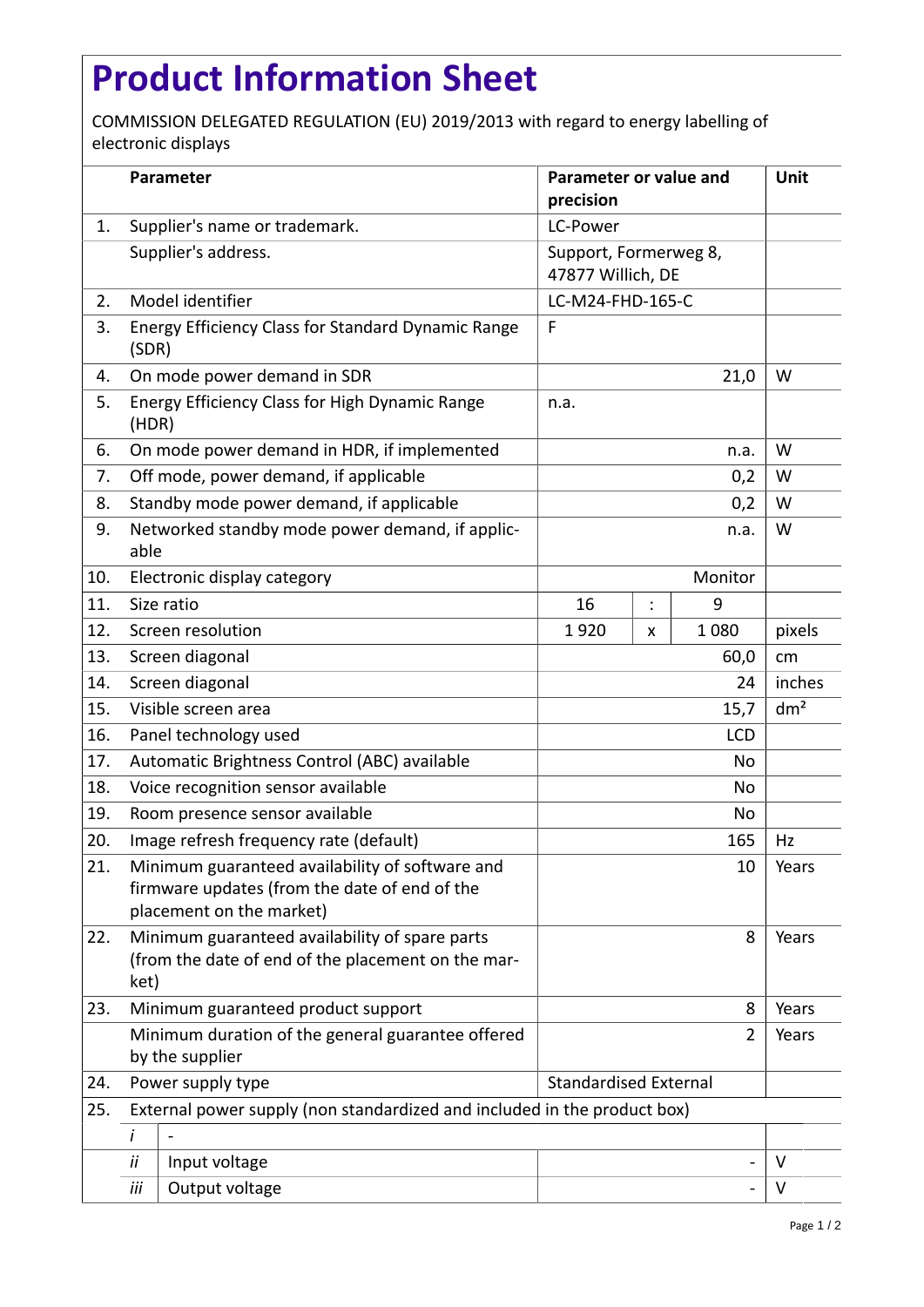## **Product Information Sheet**

COMMISSION DELEGATED REGULATION (EU) 2019/2013 with regard to energy labelling of electronic displays

|     |                                                                                                              | Parameter                                                                                                                    | Parameter or value and<br>precision        |                |       | <b>Unit</b>     |
|-----|--------------------------------------------------------------------------------------------------------------|------------------------------------------------------------------------------------------------------------------------------|--------------------------------------------|----------------|-------|-----------------|
| 1.  |                                                                                                              | Supplier's name or trademark.                                                                                                | LC-Power                                   |                |       |                 |
|     |                                                                                                              | Supplier's address.                                                                                                          | Support, Formerweg 8,<br>47877 Willich, DE |                |       |                 |
| 2.  |                                                                                                              | Model identifier                                                                                                             | LC-M24-FHD-165-C                           |                |       |                 |
| 3.  | (SDR)                                                                                                        | <b>Energy Efficiency Class for Standard Dynamic Range</b>                                                                    | F                                          |                |       |                 |
| 4.  |                                                                                                              | On mode power demand in SDR                                                                                                  | 21,0                                       |                |       | W               |
| 5.  | (HDR)                                                                                                        | Energy Efficiency Class for High Dynamic Range                                                                               | n.a.                                       |                |       |                 |
| 6.  |                                                                                                              | On mode power demand in HDR, if implemented                                                                                  | n.a.                                       |                |       | W               |
| 7.  |                                                                                                              | Off mode, power demand, if applicable                                                                                        | 0,2                                        |                |       | W               |
| 8.  |                                                                                                              | Standby mode power demand, if applicable                                                                                     | 0,2                                        |                |       | W               |
| 9.  | able                                                                                                         | Networked standby mode power demand, if applic-                                                                              | n.a.                                       |                |       | W               |
| 10. |                                                                                                              | Electronic display category                                                                                                  | Monitor                                    |                |       |                 |
| 11. |                                                                                                              | Size ratio                                                                                                                   | 16                                         | $\ddot{\cdot}$ | 9     |                 |
| 12. |                                                                                                              | Screen resolution                                                                                                            | 1920                                       | X              | 1080  | pixels          |
| 13. |                                                                                                              | Screen diagonal                                                                                                              |                                            |                | 60,0  | cm              |
| 14. |                                                                                                              | Screen diagonal                                                                                                              | 24                                         |                |       | inches          |
| 15. |                                                                                                              | Visible screen area                                                                                                          | 15,7                                       |                |       | dm <sup>2</sup> |
| 16. |                                                                                                              | Panel technology used                                                                                                        | <b>LCD</b>                                 |                |       |                 |
| 17. |                                                                                                              | Automatic Brightness Control (ABC) available                                                                                 | No                                         |                |       |                 |
| 18. |                                                                                                              | Voice recognition sensor available                                                                                           | <b>No</b>                                  |                |       |                 |
| 19. |                                                                                                              | Room presence sensor available                                                                                               | No                                         |                |       |                 |
| 20. |                                                                                                              | Image refresh frequency rate (default)                                                                                       | 165                                        |                |       | Hz              |
| 21. |                                                                                                              | Minimum guaranteed availability of software and<br>firmware updates (from the date of end of the<br>placement on the market) | 10                                         |                |       | Years           |
| 22. | Minimum guaranteed availability of spare parts<br>(from the date of end of the placement on the mar-<br>ket) |                                                                                                                              |                                            | 8              | Years |                 |
| 23. | Minimum guaranteed product support                                                                           |                                                                                                                              |                                            |                | 8     | Years           |
|     | Minimum duration of the general guarantee offered<br>$\overline{2}$<br>by the supplier                       |                                                                                                                              |                                            |                |       | Years           |
| 24. | <b>Standardised External</b><br>Power supply type                                                            |                                                                                                                              |                                            |                |       |                 |
| 25. | External power supply (non standardized and included in the product box)                                     |                                                                                                                              |                                            |                |       |                 |
|     | i                                                                                                            |                                                                                                                              |                                            |                |       |                 |
|     | ii                                                                                                           | Input voltage                                                                                                                |                                            |                |       | $\vee$          |
|     | iii                                                                                                          | Output voltage                                                                                                               |                                            |                |       | V               |